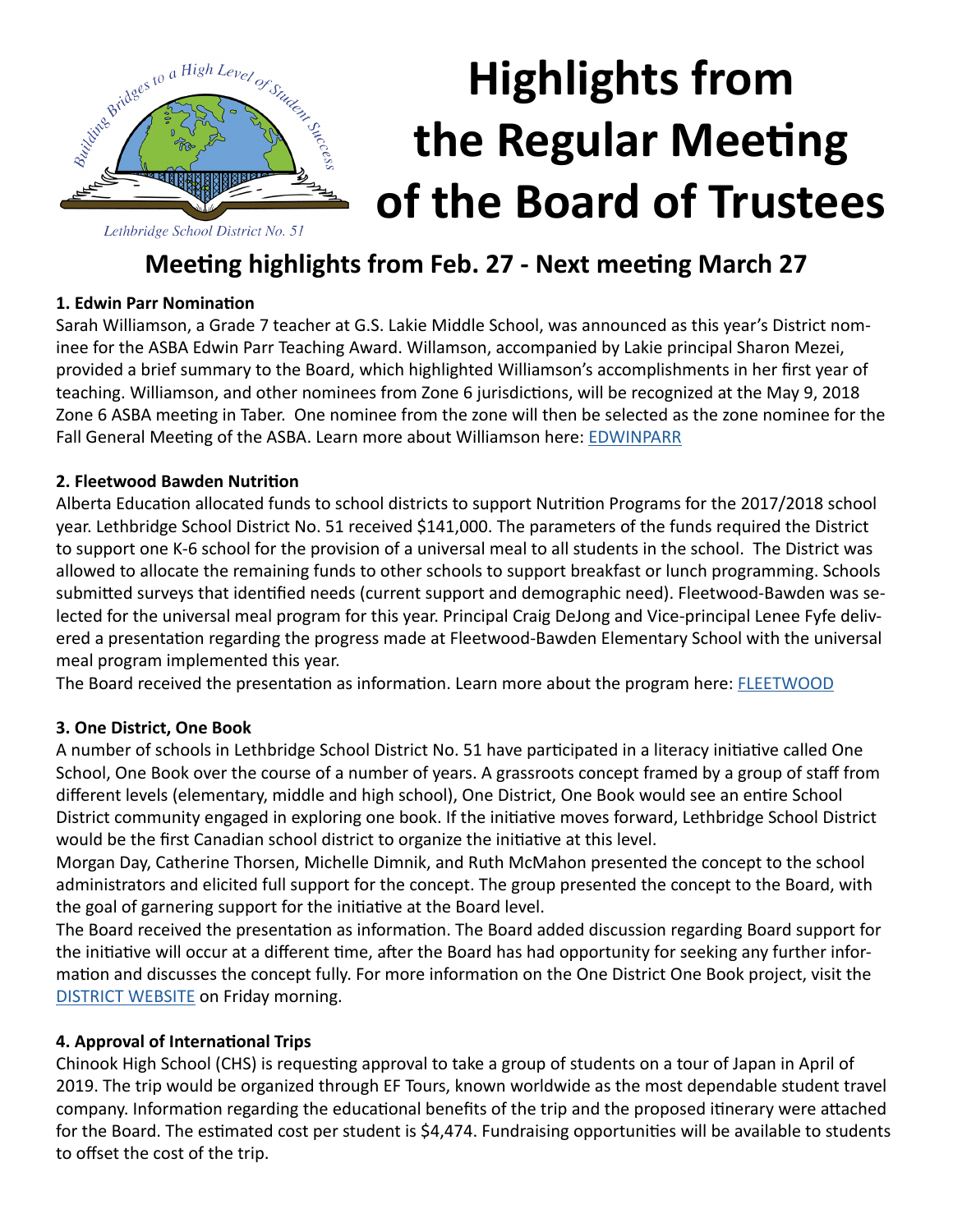

# **Highlights from the Regular Meeting of the Board of Trustees**

### **Meeting highlights from Feb. 27 - Next meeting March 27**

#### **1. Edwin Parr Nomination**

Sarah Williamson, a Grade 7 teacher at G.S. Lakie Middle School, was announced as this year's District nominee for the ASBA Edwin Parr Teaching Award. Willamson, accompanied by Lakie principal Sharon Mezei, provided a brief summary to the Board, which highlighted Williamson's accomplishments in her first year of teaching. Williamson, and other nominees from Zone 6 jurisdictions, will be recognized at the May 9, 2018 Zone 6 ASBA meeting in Taber. One nominee from the zone will then be selected as the zone nominee for the Fall General Meeting of the ASBA. Learn more about Williamson here: [EDWINPARR](http://www.lethsd.ab.ca/view.php?action=object&id=65091&stream=Homepage%20News)

#### **2. Fleetwood Bawden Nutrition**

Alberta Education allocated funds to school districts to support Nutrition Programs for the 2017/2018 school year. Lethbridge School District No. 51 received \$141,000. The parameters of the funds required the District to support one K-6 school for the provision of a universal meal to all students in the school. The District was allowed to allocate the remaining funds to other schools to support breakfast or lunch programming. Schools submitted surveys that identified needs (current support and demographic need). Fleetwood-Bawden was selected for the universal meal program for this year. Principal Craig DeJong and Vice-principal Lenee Fyfe delivered a presentation regarding the progress made at Fleetwood-Bawden Elementary School with the universal meal program implemented this year.

The Board received the presentation as information. Learn more about the program here: **FLEETWOOD** 

#### **3. One District, One Book**

A number of schools in Lethbridge School District No. 51 have participated in a literacy initiative called One School, One Book over the course of a number of years. A grassroots concept framed by a group of staff from different levels (elementary, middle and high school), One District, One Book would see an entire School District community engaged in exploring one book. If the initiative moves forward, Lethbridge School District would be the first Canadian school district to organize the initiative at this level.

Morgan Day, Catherine Thorsen, Michelle Dimnik, and Ruth McMahon presented the concept to the school administrators and elicited full support for the concept. The group presented the concept to the Board, with the goal of garnering support for the initiative at the Board level.

The Board received the presentation as information. The Board added discussion regarding Board support for the initiative will occur at a different time, after the Board has had opportunity for seeking any further information and discusses the concept fully. For more information on the One District One Book project, visit the [DISTRICT WEBSITE](http://www.lethsd.ab.ca/) on Friday morning.

#### **4. Approval of International Trips**

Chinook High School (CHS) is requesting approval to take a group of students on a tour of Japan in April of 2019. The trip would be organized through EF Tours, known worldwide as the most dependable student travel company. Information regarding the educational benefits of the trip and the proposed itinerary were attached for the Board. The estimated cost per student is \$4,474. Fundraising opportunities will be available to students to offset the cost of the trip.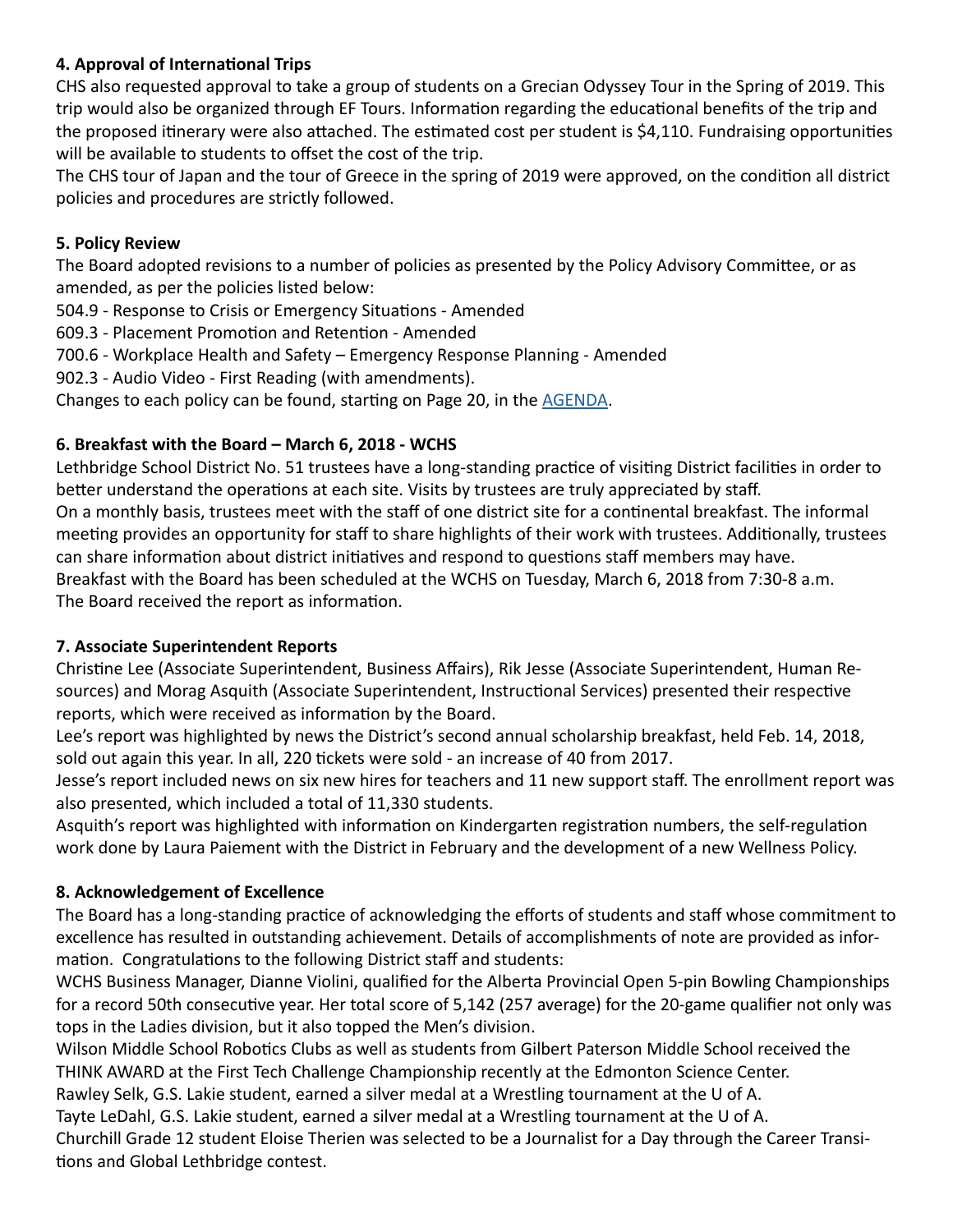#### **4. Approval of International Trips**

CHS also requested approval to take a group of students on a Grecian Odyssey Tour in the Spring of 2019. This trip would also be organized through EF Tours. Information regarding the educational benefits of the trip and the proposed itinerary were also attached. The estimated cost per student is \$4,110. Fundraising opportunities will be available to students to offset the cost of the trip.

The CHS tour of Japan and the tour of Greece in the spring of 2019 were approved, on the condition all district policies and procedures are strictly followed.

#### **5. Policy Review**

The Board adopted revisions to a number of policies as presented by the Policy Advisory Committee, or as amended, as per the policies listed below:

504.9 - Response to Crisis or Emergency Situations - Amended

609.3 - Placement Promotion and Retention - Amended

700.6 - Workplace Health and Safety – Emergency Response Planning - Amended

902.3 - Audio Video - First Reading (with amendments).

Changes to each policy can be found, starting on Page 20, in the [AGENDA.](http://www.lethsd.ab.ca/documents/general/2018-02-27%20Board%20Meeting%20Agenda.pdf)

#### **6. Breakfast with the Board – March 6, 2018 - WCHS**

Lethbridge School District No. 51 trustees have a long-standing practice of visiting District facilities in order to better understand the operations at each site. Visits by trustees are truly appreciated by staff. On a monthly basis, trustees meet with the staff of one district site for a continental breakfast. The informal meeting provides an opportunity for staff to share highlights of their work with trustees. Additionally, trustees can share information about district initiatives and respond to questions staff members may have. Breakfast with the Board has been scheduled at the WCHS on Tuesday, March 6, 2018 from 7:30-8 a.m. The Board received the report as information.

#### **7. Associate Superintendent Reports**

Christine Lee (Associate Superintendent, Business Affairs), Rik Jesse (Associate Superintendent, Human Resources) and Morag Asquith (Associate Superintendent, Instructional Services) presented their respective reports, which were received as information by the Board.

Lee's report was highlighted by news the District's second annual scholarship breakfast, held Feb. 14, 2018, sold out again this year. In all, 220 tickets were sold - an increase of 40 from 2017.

Jesse's report included news on six new hires for teachers and 11 new support staff. The enrollment report was also presented, which included a total of 11,330 students.

Asquith's report was highlighted with information on Kindergarten registration numbers, the self-regulation work done by Laura Paiement with the District in February and the development of a new Wellness Policy.

#### **8. Acknowledgement of Excellence**

The Board has a long-standing practice of acknowledging the efforts of students and staff whose commitment to excellence has resulted in outstanding achievement. Details of accomplishments of note are provided as information. Congratulations to the following District staff and students:

WCHS Business Manager, Dianne Violini, qualified for the Alberta Provincial Open 5-pin Bowling Championships for a record 50th consecutive year. Her total score of 5,142 (257 average) for the 20-game qualifier not only was tops in the Ladies division, but it also topped the Men's division.

Wilson Middle School Robotics Clubs as well as students from Gilbert Paterson Middle School received the THINK AWARD at the First Tech Challenge Championship recently at the Edmonton Science Center.

Rawley Selk, G.S. Lakie student, earned a silver medal at a Wrestling tournament at the U of A.

Tayte LeDahl, G.S. Lakie student, earned a silver medal at a Wrestling tournament at the U of A.

Churchill Grade 12 student Eloise Therien was selected to be a Journalist for a Day through the Career Transitions and Global Lethbridge contest.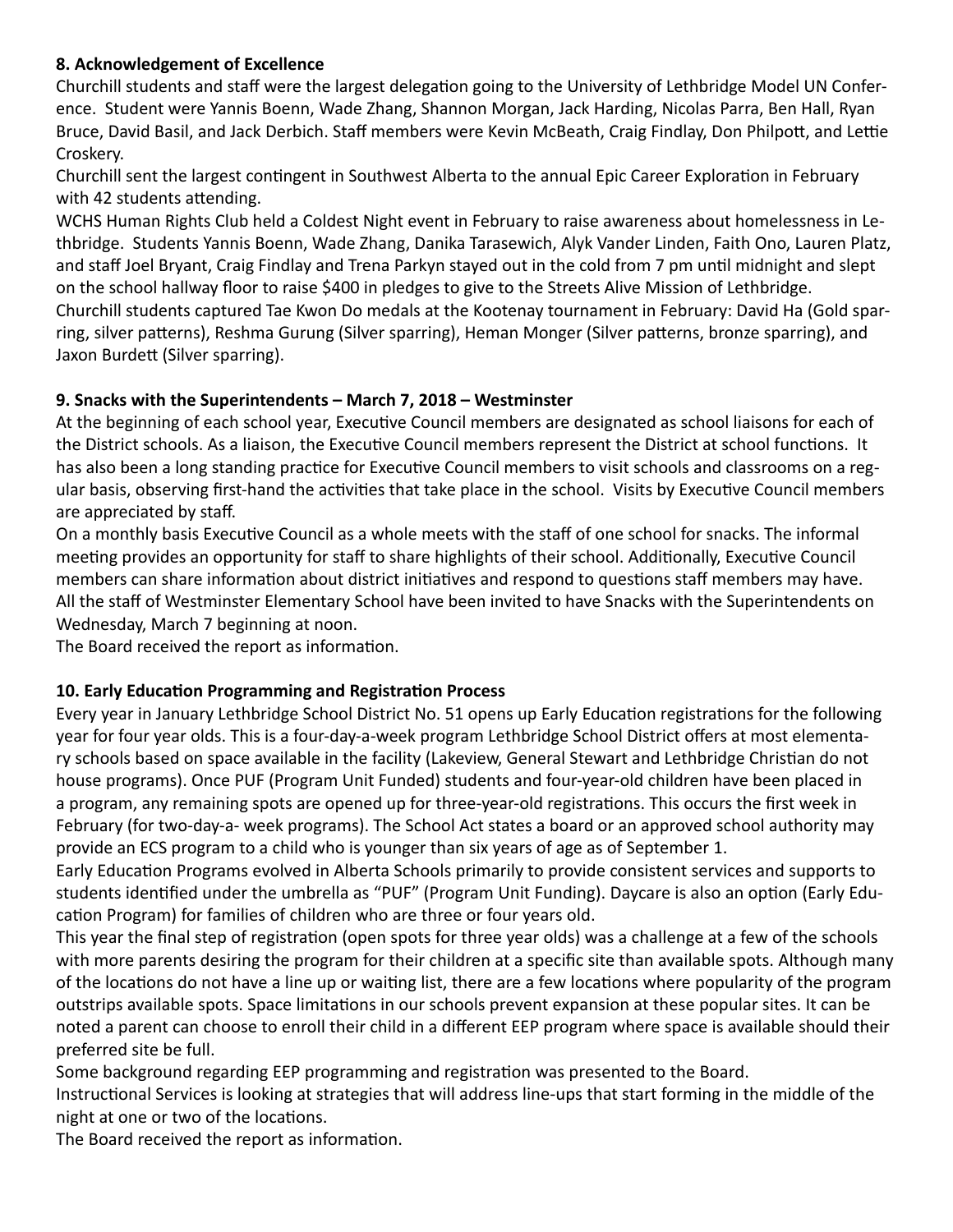#### **8. Acknowledgement of Excellence**

Churchill students and staff were the largest delegation going to the University of Lethbridge Model UN Conference. Student were Yannis Boenn, Wade Zhang, Shannon Morgan, Jack Harding, Nicolas Parra, Ben Hall, Ryan Bruce, David Basil, and Jack Derbich. Staff members were Kevin McBeath, Craig Findlay, Don Philpott, and Lettie Croskery.

Churchill sent the largest contingent in Southwest Alberta to the annual Epic Career Exploration in February with 42 students attending.

WCHS Human Rights Club held a Coldest Night event in February to raise awareness about homelessness in Lethbridge. Students Yannis Boenn, Wade Zhang, Danika Tarasewich, Alyk Vander Linden, Faith Ono, Lauren Platz, and staff Joel Bryant, Craig Findlay and Trena Parkyn stayed out in the cold from 7 pm until midnight and slept on the school hallway floor to raise \$400 in pledges to give to the Streets Alive Mission of Lethbridge. Churchill students captured Tae Kwon Do medals at the Kootenay tournament in February: David Ha (Gold sparring, silver patterns), Reshma Gurung (Silver sparring), Heman Monger (Silver patterns, bronze sparring), and Jaxon Burdett (Silver sparring).

#### **9. Snacks with the Superintendents – March 7, 2018 – Westminster**

At the beginning of each school year, Executive Council members are designated as school liaisons for each of the District schools. As a liaison, the Executive Council members represent the District at school functions. It has also been a long standing practice for Executive Council members to visit schools and classrooms on a regular basis, observing first-hand the activities that take place in the school. Visits by Executive Council members are appreciated by staff.

On a monthly basis Executive Council as a whole meets with the staff of one school for snacks. The informal meeting provides an opportunity for staff to share highlights of their school. Additionally, Executive Council members can share information about district initiatives and respond to questions staff members may have. All the staff of Westminster Elementary School have been invited to have Snacks with the Superintendents on Wednesday, March 7 beginning at noon.

The Board received the report as information.

#### **10. Early Education Programming and Registration Process**

Every year in January Lethbridge School District No. 51 opens up Early Education registrations for the following year for four year olds. This is a four-day-a-week program Lethbridge School District offers at most elementary schools based on space available in the facility (Lakeview, General Stewart and Lethbridge Christian do not house programs). Once PUF (Program Unit Funded) students and four-year-old children have been placed in a program, any remaining spots are opened up for three-year-old registrations. This occurs the first week in February (for two-day-a- week programs). The School Act states a board or an approved school authority may provide an ECS program to a child who is younger than six years of age as of September 1.

Early Education Programs evolved in Alberta Schools primarily to provide consistent services and supports to students identified under the umbrella as "PUF" (Program Unit Funding). Daycare is also an option (Early Education Program) for families of children who are three or four years old.

This year the final step of registration (open spots for three year olds) was a challenge at a few of the schools with more parents desiring the program for their children at a specific site than available spots. Although many of the locations do not have a line up or waiting list, there are a few locations where popularity of the program outstrips available spots. Space limitations in our schools prevent expansion at these popular sites. It can be noted a parent can choose to enroll their child in a different EEP program where space is available should their preferred site be full.

Some background regarding EEP programming and registration was presented to the Board.

Instructional Services is looking at strategies that will address line-ups that start forming in the middle of the night at one or two of the locations.

The Board received the report as information.